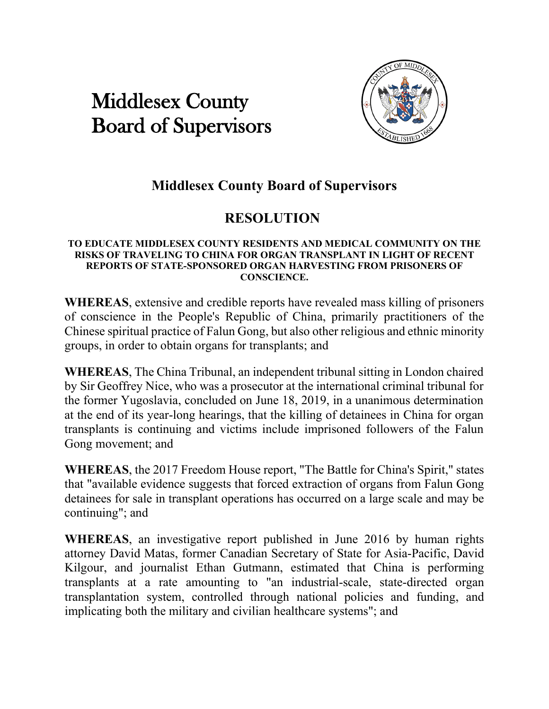## Middlesex County Board of Supervisors



## **Middlesex County Board of Supervisors**

## **RESOLUTION**

## **TO EDUCATE MIDDLESEX COUNTY RESIDENTS AND MEDICAL COMMUNITY ON THE RISKS OF TRAVELING TO CHINA FOR ORGAN TRANSPLANT IN LIGHT OF RECENT REPORTS OF STATE-SPONSORED ORGAN HARVESTING FROM PRISONERS OF CONSCIENCE.**

**WHEREAS**, extensive and credible reports have revealed mass killing of prisoners of conscience in the People's Republic of China, primarily practitioners of the Chinese spiritual practice of Falun Gong, but also other religious and ethnic minority groups, in order to obtain organs for transplants; and

**WHEREAS**, The China Tribunal, an independent tribunal sitting in London chaired by Sir Geoffrey Nice, who was a prosecutor at the international criminal tribunal for the former Yugoslavia, concluded on June 18, 2019, in a unanimous determination at the end of its year-long hearings, that the killing of detainees in China for organ transplants is continuing and victims include imprisoned followers of the Falun Gong movement; and

**WHEREAS**, the 2017 Freedom House report, "The Battle for China's Spirit," states that "available evidence suggests that forced extraction of organs from Falun Gong detainees for sale in transplant operations has occurred on a large scale and may be continuing"; and

**WHEREAS**, an investigative report published in June 2016 by human rights attorney David Matas, former Canadian Secretary of State for Asia-Pacific, David Kilgour, and journalist Ethan Gutmann, estimated that China is performing transplants at a rate amounting to "an industrial-scale, state-directed organ transplantation system, controlled through national policies and funding, and implicating both the military and civilian healthcare systems"; and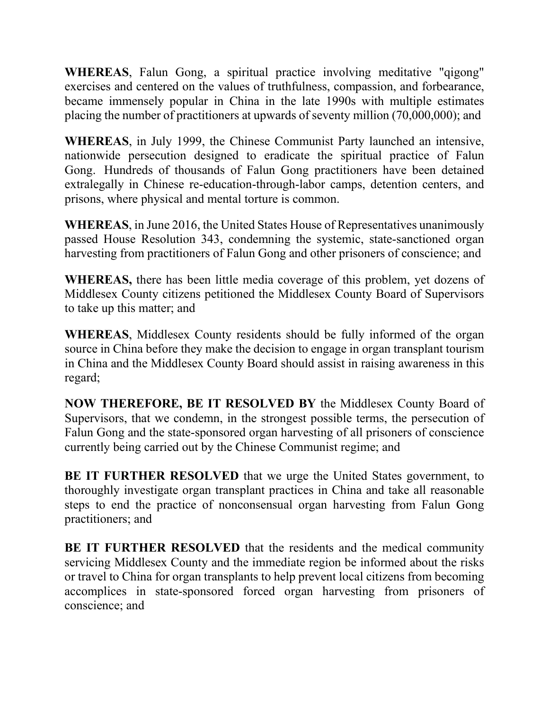**WHEREAS**, Falun Gong, a spiritual practice involving meditative "qigong" exercises and centered on the values of truthfulness, compassion, and forbearance, became immensely popular in China in the late 1990s with multiple estimates placing the number of practitioners at upwards of seventy million (70,000,000); and

**WHEREAS**, in July 1999, the Chinese Communist Party launched an intensive, nationwide persecution designed to eradicate the spiritual practice of Falun Gong. Hundreds of thousands of Falun Gong practitioners have been detained extralegally in Chinese re-education-through-labor camps, detention centers, and prisons, where physical and mental torture is common.

**WHEREAS**, in June 2016, the United States House of Representatives unanimously passed House Resolution 343, condemning the systemic, state-sanctioned organ harvesting from practitioners of Falun Gong and other prisoners of conscience; and

**WHEREAS,** there has been little media coverage of this problem, yet dozens of Middlesex County citizens petitioned the Middlesex County Board of Supervisors to take up this matter; and

**WHEREAS**, Middlesex County residents should be fully informed of the organ source in China before they make the decision to engage in organ transplant tourism in China and the Middlesex County Board should assist in raising awareness in this regard;

**NOW THEREFORE, BE IT RESOLVED BY** the Middlesex County Board of Supervisors, that we condemn, in the strongest possible terms, the persecution of Falun Gong and the state-sponsored organ harvesting of all prisoners of conscience currently being carried out by the Chinese Communist regime; and

**BE IT FURTHER RESOLVED** that we urge the United States government, to thoroughly investigate organ transplant practices in China and take all reasonable steps to end the practice of nonconsensual organ harvesting from Falun Gong practitioners; and

**BE IT FURTHER RESOLVED** that the residents and the medical community servicing Middlesex County and the immediate region be informed about the risks or travel to China for organ transplants to help prevent local citizens from becoming accomplices in state-sponsored forced organ harvesting from prisoners of conscience; and